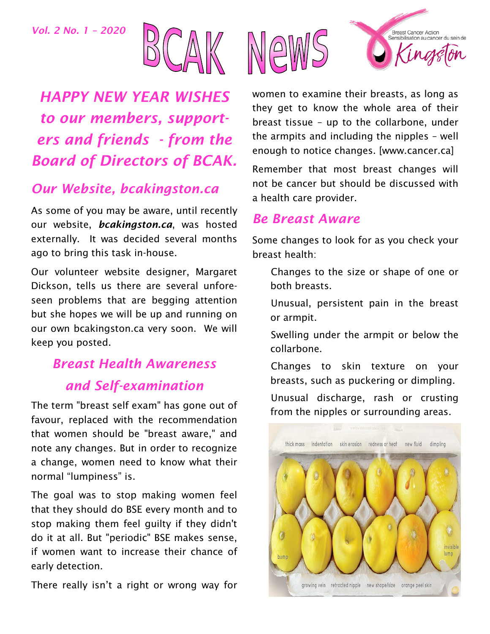*Vol. 2 No. 1 – 2020*



*HAPPY NEW YEAR WISHES to our members, supporters and friends - from the Board of Directors of BCAK.*

## *Our Website, bcakingston.ca*

As some of you may be aware, until recently our website, *bcakingston.ca*, was hosted externally. It was decided several months ago to bring this task in-house.

Our volunteer website designer, Margaret Dickson, tells us there are several unforeseen problems that are begging attention but she hopes we will be up and running on our own bcakingston.ca very soon. We will keep you posted.

# *Breast Health Awareness and Self-examination*

The term "breast self exam" has gone out of favour, replaced with the recommendation that women should be "breast aware," and note any changes. But in order to recognize a change, women need to know what their normal "lumpiness" is.

The goal was to stop making women feel that they should do BSE every month and to stop making them feel guilty if they didn't do it at all. But "periodic" BSE makes sense, if women want to increase their chance of early detection.

There really isn't a right or wrong way for



women to examine their breasts, as long as they get to know the whole area of their breast tissue – up to the collarbone, under the armpits and including the nipples – well enough to notice changes. [www.cancer.ca]

Remember that most breast changes will not be cancer but should be discussed with a health care provider.

### *Be Breast Aware*

Some changes to look for as you check your breast health:

- Changes to the size or shape of one or both breasts.
- Unusual, persistent pain in the breast or armpit.
- Swelling under the armpit or below the collarbone.
- Changes to skin texture on your breasts, such as puckering or dimpling.

Unusual discharge, rash or crusting from the nipples or surrounding areas.

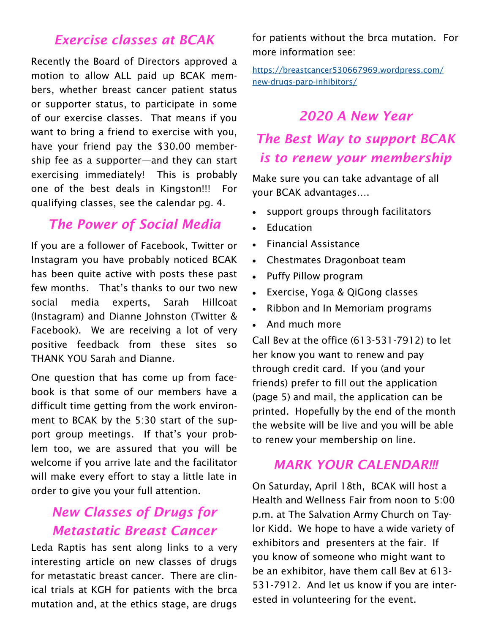## *Exercise classes at BCAK*

Recently the Board of Directors approved a motion to allow ALL paid up BCAK members, whether breast cancer patient status or supporter status, to participate in some of our exercise classes. That means if you want to bring a friend to exercise with you, have your friend pay the \$30.00 membership fee as a supporter—and they can start exercising immediately! This is probably one of the best deals in Kingston!!! For qualifying classes, see the calendar pg. 4.

### *The Power of Social Media*

If you are a follower of Facebook, Twitter or Instagram you have probably noticed BCAK has been quite active with posts these past few months. That's thanks to our two new social media experts, Sarah Hillcoat (Instagram) and Dianne Johnston (Twitter & Facebook). We are receiving a lot of very positive feedback from these sites so THANK YOU Sarah and Dianne.

One question that has come up from facebook is that some of our members have a difficult time getting from the work environment to BCAK by the 5:30 start of the support group meetings. If that's your problem too, we are assured that you will be welcome if you arrive late and the facilitator will make every effort to stay a little late in order to give you your full attention.

## *New Classes of Drugs for Metastatic Breast Cancer*

Leda Raptis has sent along links to a very interesting article on new classes of drugs for metastatic breast cancer. There are clinical trials at KGH for patients with the brca mutation and, at the ethics stage, are drugs

for patients without the brca mutation. For more information see:

[https://breastcancer530667969.wordpress.com/](https://breastcancer530667969.wordpress.com/new-drugs-parp-inhibitors/) [new-drugs-parp-inhibitors/](https://breastcancer530667969.wordpress.com/new-drugs-parp-inhibitors/)

## *2020 A New Year*

## *The Best Way to support BCAK is to renew your membership*

Make sure you can take advantage of all your BCAK advantages….

- support groups through facilitators
- Education
- Financial Assistance
- Chestmates Dragonboat team
- Puffy Pillow program
- Exercise, Yoga & QiGong classes
- Ribbon and In Memoriam programs
- And much more

Call Bev at the office (613-531-7912) to let her know you want to renew and pay through credit card. If you (and your friends) prefer to fill out the application (page 5) and mail, the application can be printed. Hopefully by the end of the month the website will be live and you will be able to renew your membership on line.

### *MARK YOUR CALENDAR!!!*

On Saturday, April 18th, BCAK will host a Health and Wellness Fair from noon to 5:00 p.m. at The Salvation Army Church on Taylor Kidd. We hope to have a wide variety of exhibitors and presenters at the fair. If you know of someone who might want to be an exhibitor, have them call Bev at 613- 531-7912. And let us know if you are interested in volunteering for the event.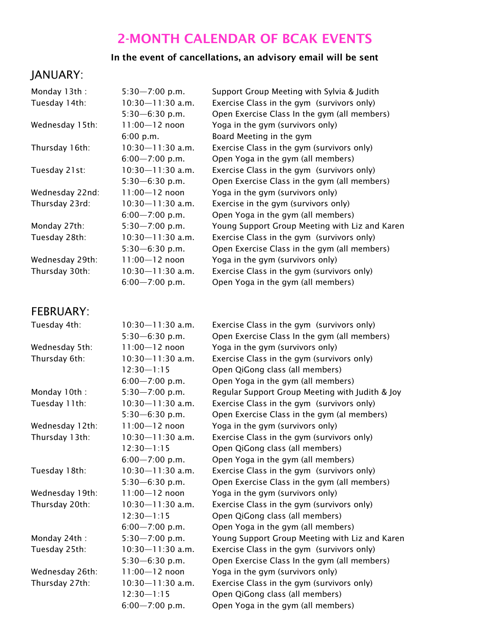## 2-MONTH CALENDAR OF BCAK EVENTS

#### In the event of cancellations, an advisory email will be sent

### JANUARY:

| Monday 13th:    | $5:30 - 7:00$ p.m.   | Support Group Meeting with Sylvia & Judith     |  |
|-----------------|----------------------|------------------------------------------------|--|
| Tuesday 14th:   | $10:30 - 11:30$ a.m. | Exercise Class in the gym (survivors only)     |  |
|                 | $5:30 - 6:30$ p.m.   | Open Exercise Class In the gym (all members)   |  |
| Wednesday 15th: | $11:00 - 12$ noon    | Yoga in the gym (survivors only)               |  |
|                 | 6:00 p.m.            | Board Meeting in the gym                       |  |
| Thursday 16th:  | $10:30 - 11:30$ a.m. | Exercise Class in the gym (survivors only)     |  |
|                 | $6:00 - 7:00$ p.m.   | Open Yoga in the gym (all members)             |  |
| Tuesday 21st:   | $10:30 - 11:30$ a.m. | Exercise Class in the gym (survivors only)     |  |
|                 | $5:30 - 6:30$ p.m.   | Open Exercise Class in the gym (all members)   |  |
| Wednesday 22nd: | $11:00 - 12$ noon    | Yoga in the gym (survivors only)               |  |
| Thursday 23rd:  | $10:30 - 11:30$ a.m. | Exercise in the gym (survivors only)           |  |
|                 | $6:00 - 7:00$ p.m.   | Open Yoga in the gym (all members)             |  |
| Monday 27th:    | $5:30 - 7:00$ p.m.   | Young Support Group Meeting with Liz and Karen |  |
| Tuesday 28th:   | $10:30 - 11:30$ a.m. | Exercise Class in the gym (survivors only)     |  |
|                 | $5:30 - 6:30$ p.m.   | Open Exercise Class in the gym (all members)   |  |
| Wednesday 29th: | $11:00 - 12$ noon    | Yoga in the gym (survivors only)               |  |
| Thursday 30th:  | 10:30—11:30 a.m.     | Exercise Class in the gym (survivors only)     |  |
|                 | $6:00 - 7:00$ p.m.   | Open Yoga in the gym (all members)             |  |

## FEBRUARY:

| Tuesday 4th:    | 10:30-11:30 a.m.     | Exercise Class in the gym (survivors only)      |  |  |
|-----------------|----------------------|-------------------------------------------------|--|--|
|                 | $5:30 - 6:30$ p.m.   | Open Exercise Class In the gym (all members)    |  |  |
| Wednesday 5th:  | $11:00 - 12$ noon    | Yoga in the gym (survivors only)                |  |  |
| Thursday 6th:   | $10:30 - 11:30$ a.m. | Exercise Class in the gym (survivors only)      |  |  |
|                 | $12:30 - 1:15$       | Open QiGong class (all members)                 |  |  |
|                 | $6:00 - 7:00$ p.m.   | Open Yoga in the gym (all members)              |  |  |
| Monday 10th:    | $5:30 - 7:00$ p.m.   | Regular Support Group Meeting with Judith & Joy |  |  |
| Tuesday 11th:   | $10:30 - 11:30$ a.m. | Exercise Class in the gym (survivors only)      |  |  |
|                 | $5:30 - 6:30$ p.m.   | Open Exercise Class in the gym (al members)     |  |  |
| Wednesday 12th: | $11:00 - 12$ noon    | Yoga in the gym (survivors only)                |  |  |
| Thursday 13th:  | $10:30 - 11:30$ a.m. | Exercise Class in the gym (survivors only)      |  |  |
|                 | $12:30 - 1:15$       | Open QiGong class (all members)                 |  |  |
|                 | $6:00 - 7:00$ p.m.   | Open Yoga in the gym (all members)              |  |  |
| Tuesday 18th:   | $10:30 - 11:30$ a.m. | Exercise Class in the gym (survivors only)      |  |  |
|                 | $5:30 - 6:30$ p.m.   | Open Exercise Class in the gym (all members)    |  |  |
| Wednesday 19th: | $11:00 - 12$ noon    | Yoga in the gym (survivors only)                |  |  |
| Thursday 20th:  | $10:30 - 11:30$ a.m. | Exercise Class in the gym (survivors only)      |  |  |
|                 | $12:30 - 1:15$       | Open QiGong class (all members)                 |  |  |
|                 | $6:00 - 7:00$ p.m.   | Open Yoga in the gym (all members)              |  |  |
| Monday 24th:    | $5:30 - 7:00$ p.m.   | Young Support Group Meeting with Liz and Karen  |  |  |
| Tuesday 25th:   | $10:30 - 11:30$ a.m. | Exercise Class in the gym (survivors only)      |  |  |
|                 | $5:30 - 6:30$ p.m.   | Open Exercise Class In the gym (all members)    |  |  |
| Wednesday 26th: | $11:00 - 12$ noon    | Yoga in the gym (survivors only)                |  |  |
| Thursday 27th:  | $10:30 - 11:30$ a.m. | Exercise Class in the gym (survivors only)      |  |  |
|                 | $12:30 - 1:15$       | Open QiGong class (all members)                 |  |  |
|                 | $6:00 - 7:00$ p.m.   | Open Yoga in the gym (all members)              |  |  |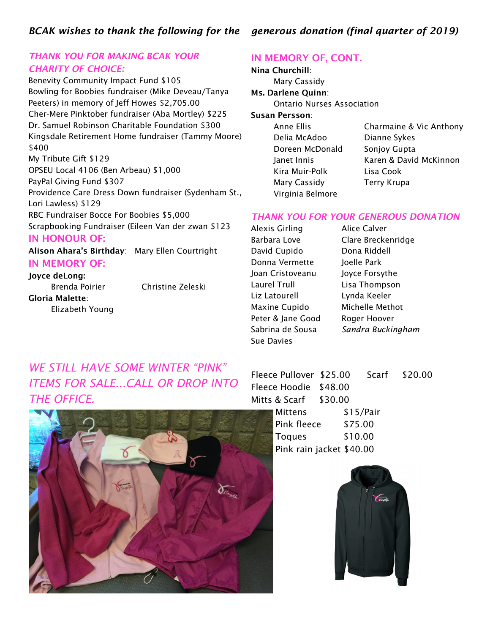#### *BCAK wishes to thank the following for the generous donation (final quarter of 2019)*

#### *THANK YOU FOR MAKING BCAK YOUR CHARITY OF CHOICE:*

Benevity Community Impact Fund \$105 Bowling for Boobies fundraiser (Mike Deveau/Tanya Peeters) in memory of Jeff Howes \$2,705.00 Cher-Mere Pinktober fundraiser (Aba Mortley) \$225 Dr. Samuel Robinson Charitable Foundation \$300 Kingsdale Retirement Home fundraiser (Tammy Moore) \$400 My Tribute Gift \$129 OPSEU Local 4106 (Ben Arbeau) \$1,000 PayPal Giving Fund \$307 Providence Care Dress Down fundraiser (Sydenham St., Lori Lawless) \$129 RBC Fundraiser Bocce For Boobies \$5,000 Scrapbooking Fundraiser (Eileen Van der zwan \$123 IN HONOUR OF:

Alison Ahara's Birthday: Mary Ellen Courtright IN MEMORY OF:

### Joyce deLong:

Gloria Malette: Elizabeth Young

Brenda Poirier Christine Zeleski

#### IN MEMORY OF, CONT.

Nina Churchill: Mary Cassidy Ms. Darlene Quinn: Ontario Nurses Association Susan Persson: Anne Ellis Charmaine & Vic Anthony Delia McAdoo Dianne Sykes Doreen McDonald Sonjoy Gupta Janet Innis Karen & David McKinnon Kira Muir-Polk Lisa Cook Mary Cassidy Terry Krupa Virginia Belmore

#### *THANK YOU FOR YOUR GENEROUS DONATION*

Alexis Girling Alice Calver Barbara Love Clare Breckenridge David Cupido Dona Riddell Donna Vermette Joelle Park Joan Cristoveanu Joyce Forsythe Laurel Trull Lisa Thompson Liz Latourell Lynda Keeler Maxine Cupido Michelle Methot Peter & Jane Good Roger Hoover Sue Davies

Sabrina de Sousa *Sandra Buckingham*

## *WE STILL HAVE SOME WINTER "PINK" ITEMS FOR SALE...CALL OR DROP INTO THE OFFICE.*



| Fleece Pullover \$25.00  |           | Scarf \$20.00 |
|--------------------------|-----------|---------------|
| Fleece Hoodie \$48.00    |           |               |
| Mitts & Scarf \$30.00    |           |               |
| Mittens                  | \$15/Pair |               |
| Pink fleece \$75.00      |           |               |
| <b>Toques</b>            | \$10.00   |               |
| Pink rain jacket \$40.00 |           |               |

**Chanton**